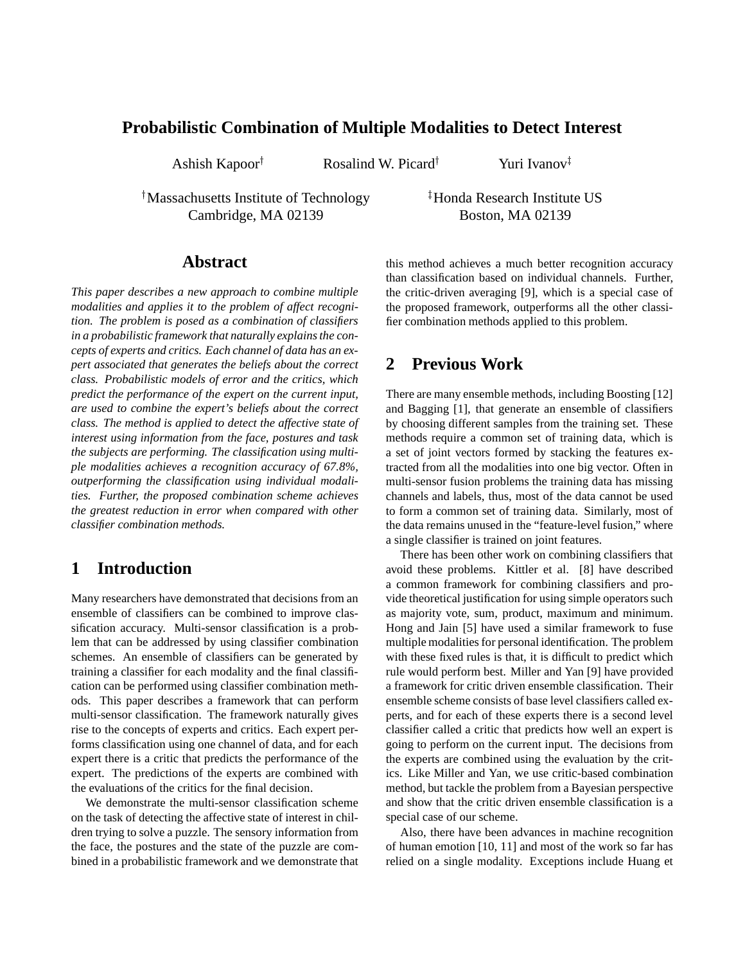### **Probabilistic Combination of Multiple Modalities to Detect Interest**

Ashish Kapoor

Rosalind W. Picard

Yuri Ivanov

 Massachusetts Institute of Technology Cambridge, MA 02139 Boston, MA 02139

Honda Research Institute US

### **Abstract**

*This paper describes a new approach to combine multiple modalities and applies it to the problem of affect recognition. The problem is posed as a combination of classifiers in a probabilistic framework that naturally explainsthe concepts of experts and critics. Each channel of data has an expert associated that generates the beliefs about the correct class. Probabilistic models of error and the critics, which predict the performance of the expert on the current input, are used to combine the expert's beliefs about the correct class. The method is applied to detect the affective state of interest using information from the face, postures and task the subjects are performing. The classification using multiple modalities achieves a recognition accuracy of 67.8%, outperforming the classification using individual modalities. Further, the proposed combination scheme achieves the greatest reduction in error when compared with other classifier combination methods.*

# **1 Introduction**

Many researchers have demonstrated that decisions from an ensemble of classifiers can be combined to improve classification accuracy. Multi-sensor classification is a problem that can be addressed by using classifier combination schemes. An ensemble of classifiers can be generated by training a classifier for each modality and the final classification can be performed using classifier combination methods. This paper describes a framework that can perform multi-sensor classification. The framework naturally gives rise to the concepts of experts and critics. Each expert performs classification using one channel of data, and for each expert there is a critic that predicts the performance of the expert. The predictions of the experts are combined with the evaluations of the critics for the final decision.

We demonstrate the multi-sensor classification scheme on the task of detecting the affective state of interest in children trying to solve a puzzle. The sensory information from the face, the postures and the state of the puzzle are combined in a probabilistic framework and we demonstrate that

this method achieves a much better recognition accuracy than classification based on individual channels. Further, the critic-driven averaging [9], which is a special case of the proposed framework, outperforms all the other classifier combination methods applied to this problem.

# **2 Previous Work**

There are many ensemble methods, including Boosting [12] and Bagging [1], that generate an ensemble of classifiers by choosing different samples from the training set. These methods require a common set of training data, which is a set of joint vectors formed by stacking the features extracted from all the modalities into one big vector. Often in multi-sensor fusion problems the training data has missing channels and labels, thus, most of the data cannot be used to form a common set of training data. Similarly, most of the data remains unused in the "feature-level fusion," where a single classifier is trained on joint features.

There has been other work on combining classifiers that avoid these problems. Kittler et al. [8] have described a common framework for combining classifiers and provide theoretical justification for using simple operators such as majority vote, sum, product, maximum and minimum. Hong and Jain [5] have used a similar framework to fuse multiple modalities for personal identification. The problem with these fixed rules is that, it is difficult to predict which rule would perform best. Miller and Yan [9] have provided a framework for critic driven ensemble classification. Their ensemble scheme consists of base level classifiers called experts, and for each of these experts there is a second level classifier called a critic that predicts how well an expert is going to perform on the current input. The decisions from the experts are combined using the evaluation by the critics. Like Miller and Yan, we use critic-based combination method, but tackle the problem from a Bayesian perspective and show that the critic driven ensemble classification is a special case of our scheme.

Also, there have been advances in machine recognition of human emotion [10, 11] and most of the work so far has relied on a single modality. Exceptions include Huang et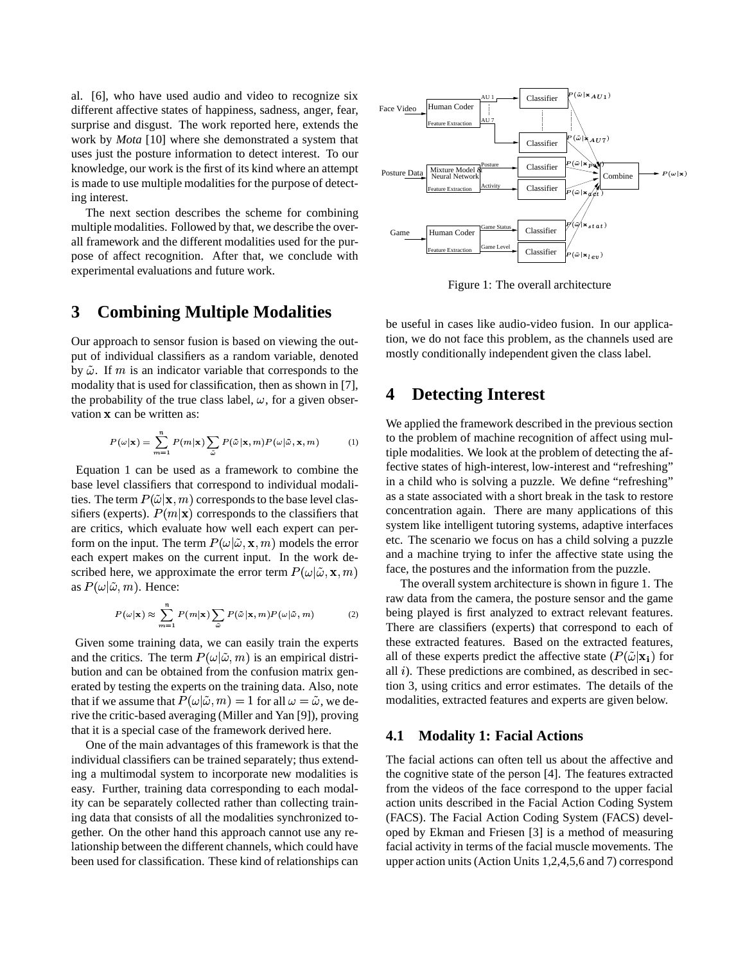al. [6], who have used audio and video to recognize six different affective states of happiness, sadness, anger, fear, surprise and disgust. The work reported here, extends the work by *Mota* [10] where she demonstrated a system that uses just the posture information to detect interest. To our knowledge, our work is the first of its kind where an attempt is made to use multiple modalities for the purpose of detecting interest.

The next section describes the scheme for a combining ents multiple modalities. Followed by that, we describe the overall framework and the different modalities used for the purpose of affect recognition. After that, we conclude with experimental evaluations and future work.

### **3 Combining Multiple Modalities**

Our approach to sensor fusion is based on viewing the output of individual classifiers as a random variable, denoted by  $\tilde{\omega}$ . If m is an indicator variable that corresponds to the modality that is used for classification, then as shown in [7], the probability of the true class label,  $\omega$ , for a given observation x can be written as:

$$
P(\omega|\mathbf{x}) = \sum_{m=1}^{n} P(m|\mathbf{x}) \sum_{\tilde{\omega}} P(\tilde{\omega}|\mathbf{x}, m) P(\omega|\tilde{\omega}, \mathbf{x}, m)
$$
 (1)

Equation 1 can be used as a framework to combine the base level classifiers that correspond to individual modalities. The term  $P(\tilde{\omega}|\mathbf{x},m)$  corresponds to the base level classifiers (experts).  $P(m|\mathbf{x})$  corresponds to the classifiers that are critics, which evaluate how well each expert can perform on the input. The term  $P(\omega | \tilde{\omega}, \mathbf{x}, m)$  models the error each expert makes on the current input. In the work described here, we approximate the error term  $P(\omega|\tilde{\omega}, \mathbf{x}, m)$  <sup>1</sup> as  $P(\omega|\tilde{\omega}, m)$ . Hence:

$$
P(\omega|\mathbf{x}) \approx \sum_{m=1}^{n} P(m|\mathbf{x}) \sum_{\tilde{\omega}} P(\tilde{\omega}|\mathbf{x}, m) P(\omega|\tilde{\omega}, m)
$$
 (2)

Given some training data, we can easily train the experts and the critics. The term  $P(\omega|\tilde{\omega}, m)$  is an empirical distribution and can be obtained from the confusion matrix generated by testing the experts on the training data. Also, note that if we assume that  $P(\omega|\tilde{\omega}, m) = 1$  for all  $\omega = \tilde{\omega}$ , we derive the critic-based averaging (Miller and Yan [9]), proving that it is a special case of the framework derived here.

One of the main advantages of this framework is that the individual classifiers can be trained separately; thus extending a multimodal system to incorporate new modalities is easy. Further, training data corresponding to each modality can be separately collected rather than collecting training data that consists of all the modalities synchronized together. On the other hand this approach cannot use any relationship between the different channels, which could have been used for classification. These kind of relationships can



Figure 1: The overall architecture

be useful in cases like audio-video fusion. In our application, we do not face this problem, as the channels used are mostly conditionally independent given the class label.

# **4 Detecting Interest**

We applied the framework described in the previous section to the problem of machine recognition of affect using multiple modalities. We look at the problem of detecting the affective states of high-interest, low-interest and "refreshing" in a child who is solving a puzzle. We define "refreshing" as a state associated with a short break in the task to restore concentration again. There are many applications of this system like intelligent tutoring systems, adaptive interfaces etc. The scenario we focus on has a child solving a puzzle and a machine trying to infer the affective state using the face, the postures and the information from the puzzle.

The overall system architecture is shown in figure 1. The raw data from the camera, the posture sensor and the game being played is first analyzed to extract relevant features. There are classifiers (experts) that correspond to each of these extracted features. Based on the extracted features, all of these experts predict the affective state ( $P(\tilde{\omega}|\mathbf{x_i})$  for all  $i$ ). These predictions are combined, as described in section 3, using critics and error estimates. The details of the modalities, extracted features and experts are given below.

#### **4.1 Modality 1: Facial Actions**

The facial actions can often tell us about the affective and the cognitive state of the person [4]. The features extracted from the videos of the face correspond to the upper facial action units described in the Facial Action Coding System (FACS). The Facial Action Coding System (FACS) developed by Ekman and Friesen [3] is a method of measuring facial activity in terms of the facial muscle movements. The upper action units (Action Units 1,2,4,5,6 and 7) correspond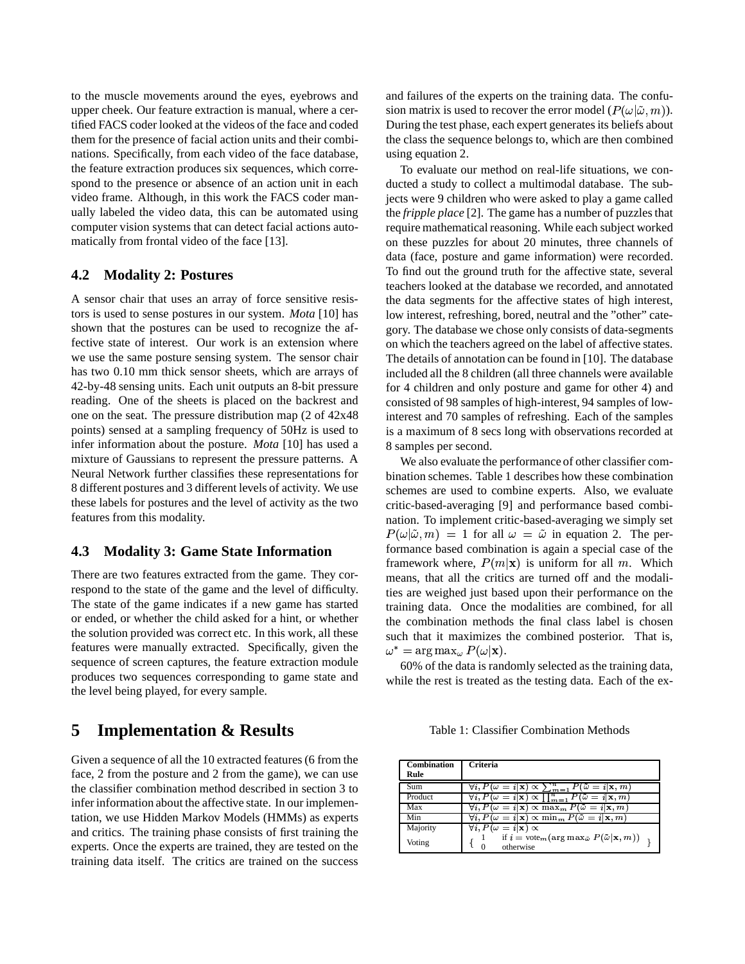to the muscle movements around the eyes, eyebrows and upper cheek. Our feature extraction is manual, where a certified FACS coder looked at the videos of the face and coded them for the presence of facial action units and their combinations. Specifically, from each video of the face database, the feature extraction produces six sequences, which correspond to the presence or absence of an action unit in each video frame. Although, in this work the FACS coder manually labeled the video data, this can be automated using computer vision systems that can detect facial actions automatically from frontal video of the face [13].

#### **4.2 Modality 2: Postures**

A sensor chair that uses an array of force sensitive resistors is used to sense postures in our system. *Mota* [10] has shown that the postures can be used to recognize the affective state of interest. Our work is an extension where we use the same posture sensing system. The sensor chair has two 0.10 mm thick sensor sheets, which are arrays of 42-by-48 sensing units. Each unit outputs an 8-bit pressure reading. One of the sheets is placed on the backrest and one on the seat. The pressure distribution map (2 of 42x48 points) sensed at a sampling frequency of 50Hz is used to infer information about the posture. *Mota* [10] has used a mixture of Gaussians to represent the pressure patterns. A Neural Network further classifies these representations for 8 different postures and 3 different levels of activity. We use these labels for postures and the level of activity as the two features from this modality.

#### **4.3 Modality 3: Game State Information**

There are two features extracted from the game. They correspond to the state of the game and the level of difficulty. The state of the game indicates if a new game has started or ended, or whether the child asked for a hint, or whether the solution provided was correct etc. In this work, all these features were manually extracted. Specifically, given the sequence of screen captures, the feature extraction module produces two sequences corresponding to game state and the level being played, for every sample.

# **5 Implementation & Results**

Given a sequence of all the 10 extracted features (6 from the face, 2 from the posture and 2 from the game), we can use the classifier combination method described in section 3 to infer information about the affective state. In our implementation, we use Hidden Markov Models (HMMs) as experts and critics. The training phase consists of first training the experts. Once the experts are trained, they are tested on the training data itself. The critics are trained on the success

and failures of the experts on the training data. The confusion matrix is used to recover the error model  $(P(\omega|\tilde{\omega}, m))$ . During the test phase, each expert generatesits beliefs about the class the sequence belongs to, which are then combined using equation 2.

To evaluate our method on real-life situations, we conducted a study to collect a multimodal database. The subjects were 9 children who were asked to play a game called the *fripple place* [2]. The game has a number of puzzles that require mathematical reasoning. While each subject worked on these puzzles for about 20 minutes, three channels of data (face, posture and game information) were recorded. To find out the ground truth for the affective state, several teachers looked at the database we recorded, and annotated the data segments for the affective states of high interest, low interest, refreshing, bored, neutral and the "other" category. The database we chose only consists of data-segments on which the teachers agreed on the label of affective states. The details of annotation can be found in [10]. The database included all the 8 children (all three channels were available for 4 children and only posture and game for other 4) and consisted of 98 samples of high-interest, 94 samples of lowinterest and 70 samples of refreshing. Each of the samples is a maximum of 8 secs long with observations recorded at 8 samples per second.

We also evaluate the performance of other classifier combination schemes. Table 1 describes how these combination schemes are used to combine experts. Also, we evaluate critic-based-averaging [9] and performance based combination. To implement critic-based-averaging we simply set  $P(\omega|\tilde{\omega}, m) = 1$  for all  $\omega = \tilde{\omega}$  in equation 2. The performance based combination is again a special case of the framework where,  $P(m|\mathbf{x})$  is uniform for all m. Which means, that all the critics are turned off and the modalities are weighed just based upon their performance on the training data. Once the modalities are combined, for all the combination methods the final class label is chosen such that it maximizes the combined posterior. That is,  $\omega^* = \argmax_{\omega} P(\omega | \mathbf{x}).$ 

60% of the data is randomly selected as the training data, while the rest is treated as the testing data. Each of the ex-

Table 1: Classifier Combination Methods

| <b>Combination</b><br>Rule | Criteria                                                                                              |
|----------------------------|-------------------------------------------------------------------------------------------------------|
| Sum                        | $\forall i, P(\omega = i   \mathbf{x}) \propto \sum_{m=1}^{n} P(\tilde{\omega} = i   \mathbf{x}, m)$  |
| Product                    | $\forall i, P(\omega = i   \mathbf{x}) \propto \prod_{m=1}^{n} P(\tilde{\omega} = i   \mathbf{x}, m)$ |
| Max                        | $\forall i, P(\omega = i   \mathbf{x}) \propto \max_m P(\tilde{\omega} = i   \mathbf{x}, m)$          |
| Min                        | $\forall i, P(\omega = i   \mathbf{x}) \propto \min_m P(\tilde{\omega} = i   \mathbf{x}, m)$          |
| Majority                   | $\forall i, P(\omega = i   \mathbf{x}) \propto$                                                       |
| Voting                     | if $i = \text{vote}_m(\arg \max_{\tilde{\omega}} P(\tilde{\omega}   \mathbf{x}, m))$<br>otherwise     |